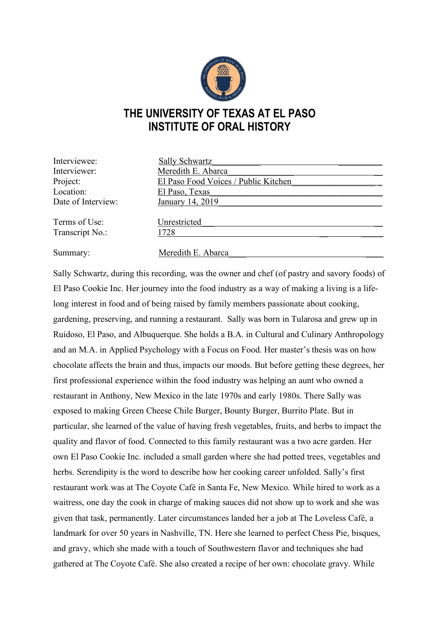

## **THE UNIVERSITY OF TEXAS AT EL PASO INSTITUTE OF ORAL HISTORY**

| Interviewee:       | <b>Sally Schwartz</b>                |
|--------------------|--------------------------------------|
| Interviewer:       | Meredith E. Abarca                   |
| Project:           | El Paso Food Voices / Public Kitchen |
| Location:          | El Paso, Texas                       |
| Date of Interview: | January 14, 2019                     |
| Terms of Use:      | Unrestricted                         |
| Transcript No.:    | 1728                                 |
| Summary:           | Meredith E. Abarca                   |

Sally Schwartz, during this recording, was the owner and chef (of pastry and savory foods) of El Paso Cookie Inc. Her journey into the food industry as a way of making a living is a lifelong interest in food and of being raised by family members passionate about cooking, gardening, preserving, and running a restaurant. Sally was born in Tularosa and grew up in Ruidoso, El Paso, and Albuquerque. She holds a B.A. in Cultural and Culinary Anthropology and an M.A. in Applied Psychology with a Focus on Food. Her master's thesis was on how chocolate affects the brain and thus, impacts our moods. But before getting these degrees, her first professional experience within the food industry was helping an aunt who owned a restaurant in Anthony, New Mexico in the late 1970s and early 1980s. There Sally was exposed to making Green Cheese Chile Burger, Bounty Burger, Burrito Plate. But in particular, she learned of the value of having fresh vegetables, fruits, and herbs to impact the quality and flavor of food. Connected to this family restaurant was a two acre garden. Her own El Paso Cookie Inc. included a small garden where she had potted trees, vegetables and herbs. Serendipity is the word to describe how her cooking career unfolded. Sally's first restaurant work was at The Coyote Café in Santa Fe, New Mexico. While hired to work as a waitress, one day the cook in charge of making sauces did not show up to work and she was given that task, permanently. Later circumstances landed her a job at The Loveless Café, a landmark for over 50 years in Nashville, TN. Here she learned to perfect Chess Pie, bisques, and gravy, which she made with a touch of Southwestern flavor and techniques she had gathered at The Coyote Café. She also created a recipe of her own: chocolate gravy. While